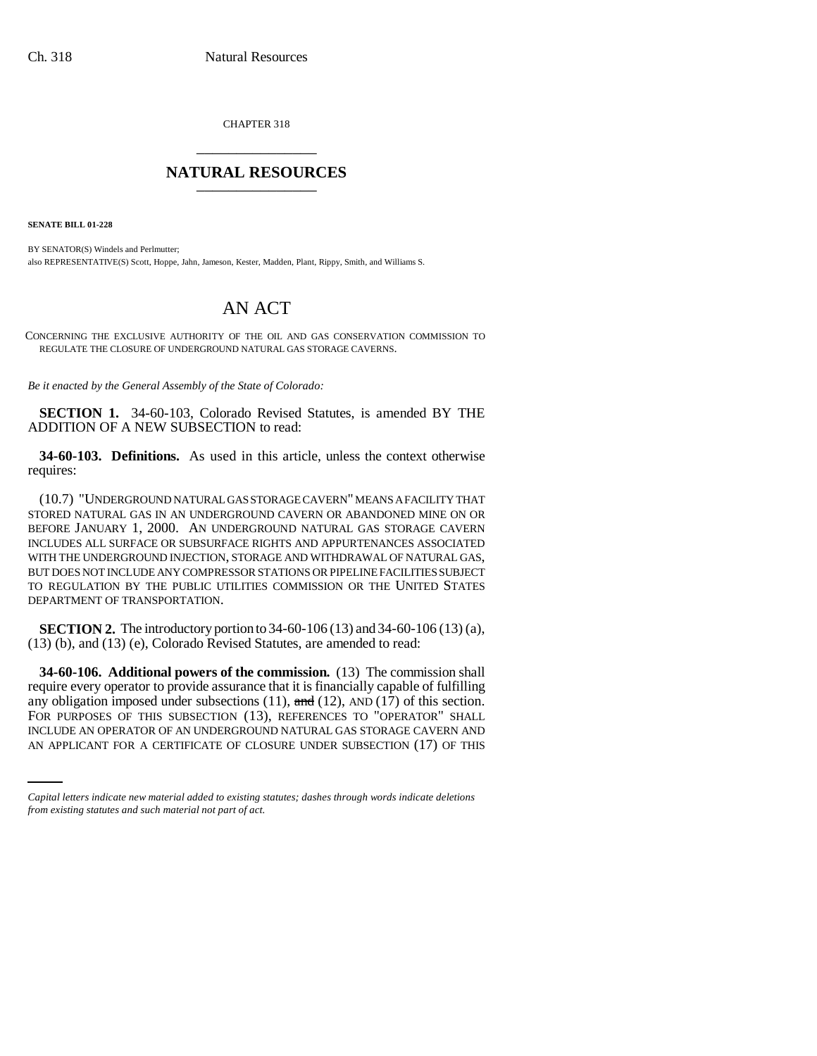CHAPTER 318 \_\_\_\_\_\_\_\_\_\_\_\_\_\_\_

## **NATURAL RESOURCES** \_\_\_\_\_\_\_\_\_\_\_\_\_\_\_

**SENATE BILL 01-228**

BY SENATOR(S) Windels and Perlmutter; also REPRESENTATIVE(S) Scott, Hoppe, Jahn, Jameson, Kester, Madden, Plant, Rippy, Smith, and Williams S.

## AN ACT

CONCERNING THE EXCLUSIVE AUTHORITY OF THE OIL AND GAS CONSERVATION COMMISSION TO REGULATE THE CLOSURE OF UNDERGROUND NATURAL GAS STORAGE CAVERNS.

*Be it enacted by the General Assembly of the State of Colorado:*

**SECTION 1.** 34-60-103, Colorado Revised Statutes, is amended BY THE ADDITION OF A NEW SUBSECTION to read:

**34-60-103. Definitions.** As used in this article, unless the context otherwise requires:

(10.7) "UNDERGROUND NATURAL GAS STORAGE CAVERN" MEANS A FACILITY THAT STORED NATURAL GAS IN AN UNDERGROUND CAVERN OR ABANDONED MINE ON OR BEFORE JANUARY 1, 2000. AN UNDERGROUND NATURAL GAS STORAGE CAVERN INCLUDES ALL SURFACE OR SUBSURFACE RIGHTS AND APPURTENANCES ASSOCIATED WITH THE UNDERGROUND INJECTION, STORAGE AND WITHDRAWAL OF NATURAL GAS, BUT DOES NOT INCLUDE ANY COMPRESSOR STATIONS OR PIPELINE FACILITIES SUBJECT TO REGULATION BY THE PUBLIC UTILITIES COMMISSION OR THE UNITED STATES DEPARTMENT OF TRANSPORTATION.

**SECTION 2.** The introductory portion to 34-60-106 (13) and 34-60-106 (13) (a), (13) (b), and (13) (e), Colorado Revised Statutes, are amended to read:

FOR PURPOSES OF THIS SUBSECTION (13), REFERENCES TO "OPERATOR" SHALL **34-60-106. Additional powers of the commission.** (13) The commission shall require every operator to provide assurance that it is financially capable of fulfilling any obligation imposed under subsections (11),  $\theta$  and (12), AND (17) of this section. INCLUDE AN OPERATOR OF AN UNDERGROUND NATURAL GAS STORAGE CAVERN AND AN APPLICANT FOR A CERTIFICATE OF CLOSURE UNDER SUBSECTION (17) OF THIS

*Capital letters indicate new material added to existing statutes; dashes through words indicate deletions from existing statutes and such material not part of act.*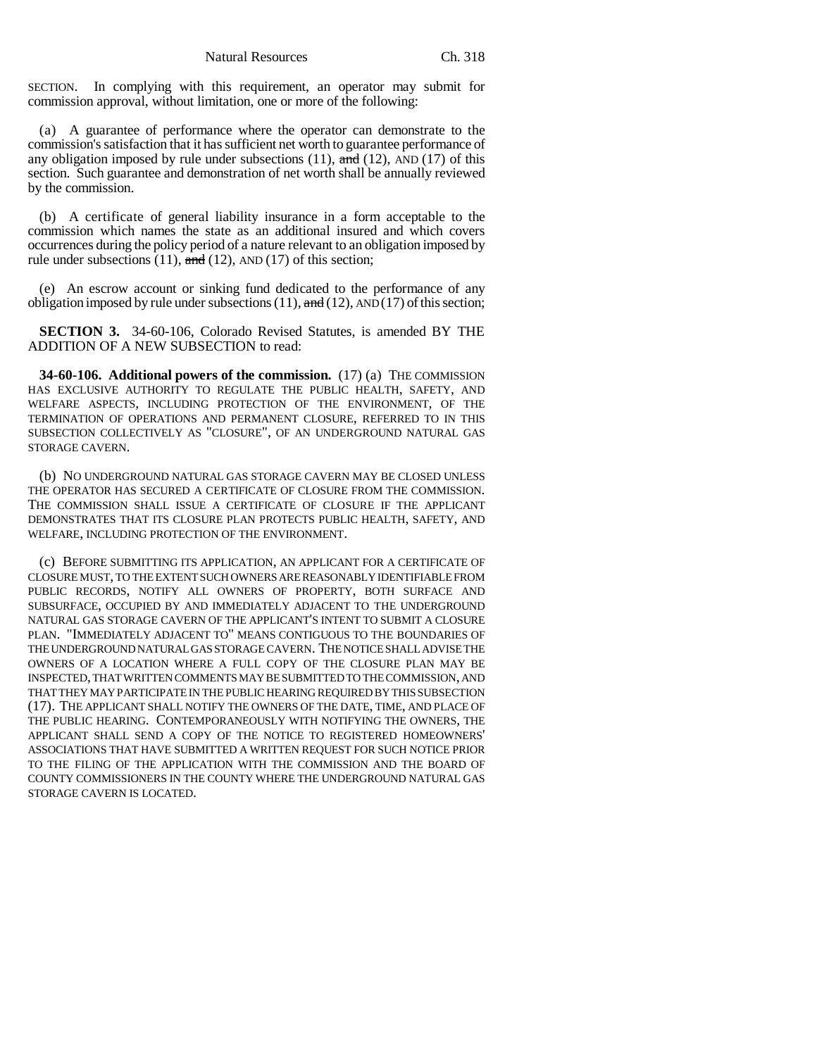SECTION. In complying with this requirement, an operator may submit for commission approval, without limitation, one or more of the following:

(a) A guarantee of performance where the operator can demonstrate to the commission's satisfaction that it has sufficient net worth to guarantee performance of any obligation imposed by rule under subsections  $(11)$ , and  $(12)$ , AND  $(17)$  of this section. Such guarantee and demonstration of net worth shall be annually reviewed by the commission.

(b) A certificate of general liability insurance in a form acceptable to the commission which names the state as an additional insured and which covers occurrences during the policy period of a nature relevant to an obligation imposed by rule under subsections  $(11)$ , and  $(12)$ , AND  $(17)$  of this section;

(e) An escrow account or sinking fund dedicated to the performance of any obligation imposed by rule under subsections  $(11)$ , and  $(12)$ , AND  $(17)$  of this section;

**SECTION 3.** 34-60-106, Colorado Revised Statutes, is amended BY THE ADDITION OF A NEW SUBSECTION to read:

**34-60-106. Additional powers of the commission.** (17) (a) THE COMMISSION HAS EXCLUSIVE AUTHORITY TO REGULATE THE PUBLIC HEALTH, SAFETY, AND WELFARE ASPECTS, INCLUDING PROTECTION OF THE ENVIRONMENT, OF THE TERMINATION OF OPERATIONS AND PERMANENT CLOSURE, REFERRED TO IN THIS SUBSECTION COLLECTIVELY AS "CLOSURE", OF AN UNDERGROUND NATURAL GAS STORAGE CAVERN.

(b) NO UNDERGROUND NATURAL GAS STORAGE CAVERN MAY BE CLOSED UNLESS THE OPERATOR HAS SECURED A CERTIFICATE OF CLOSURE FROM THE COMMISSION. THE COMMISSION SHALL ISSUE A CERTIFICATE OF CLOSURE IF THE APPLICANT DEMONSTRATES THAT ITS CLOSURE PLAN PROTECTS PUBLIC HEALTH, SAFETY, AND WELFARE, INCLUDING PROTECTION OF THE ENVIRONMENT.

(c) BEFORE SUBMITTING ITS APPLICATION, AN APPLICANT FOR A CERTIFICATE OF CLOSURE MUST, TO THE EXTENT SUCH OWNERS ARE REASONABLY IDENTIFIABLE FROM PUBLIC RECORDS, NOTIFY ALL OWNERS OF PROPERTY, BOTH SURFACE AND SUBSURFACE, OCCUPIED BY AND IMMEDIATELY ADJACENT TO THE UNDERGROUND NATURAL GAS STORAGE CAVERN OF THE APPLICANT'S INTENT TO SUBMIT A CLOSURE PLAN. "IMMEDIATELY ADJACENT TO" MEANS CONTIGUOUS TO THE BOUNDARIES OF THE UNDERGROUND NATURAL GAS STORAGE CAVERN. THE NOTICE SHALL ADVISE THE OWNERS OF A LOCATION WHERE A FULL COPY OF THE CLOSURE PLAN MAY BE INSPECTED, THAT WRITTEN COMMENTS MAY BE SUBMITTED TO THE COMMISSION, AND THAT THEY MAY PARTICIPATE IN THE PUBLIC HEARING REQUIRED BY THIS SUBSECTION (17). THE APPLICANT SHALL NOTIFY THE OWNERS OF THE DATE, TIME, AND PLACE OF THE PUBLIC HEARING. CONTEMPORANEOUSLY WITH NOTIFYING THE OWNERS, THE APPLICANT SHALL SEND A COPY OF THE NOTICE TO REGISTERED HOMEOWNERS' ASSOCIATIONS THAT HAVE SUBMITTED A WRITTEN REQUEST FOR SUCH NOTICE PRIOR TO THE FILING OF THE APPLICATION WITH THE COMMISSION AND THE BOARD OF COUNTY COMMISSIONERS IN THE COUNTY WHERE THE UNDERGROUND NATURAL GAS STORAGE CAVERN IS LOCATED.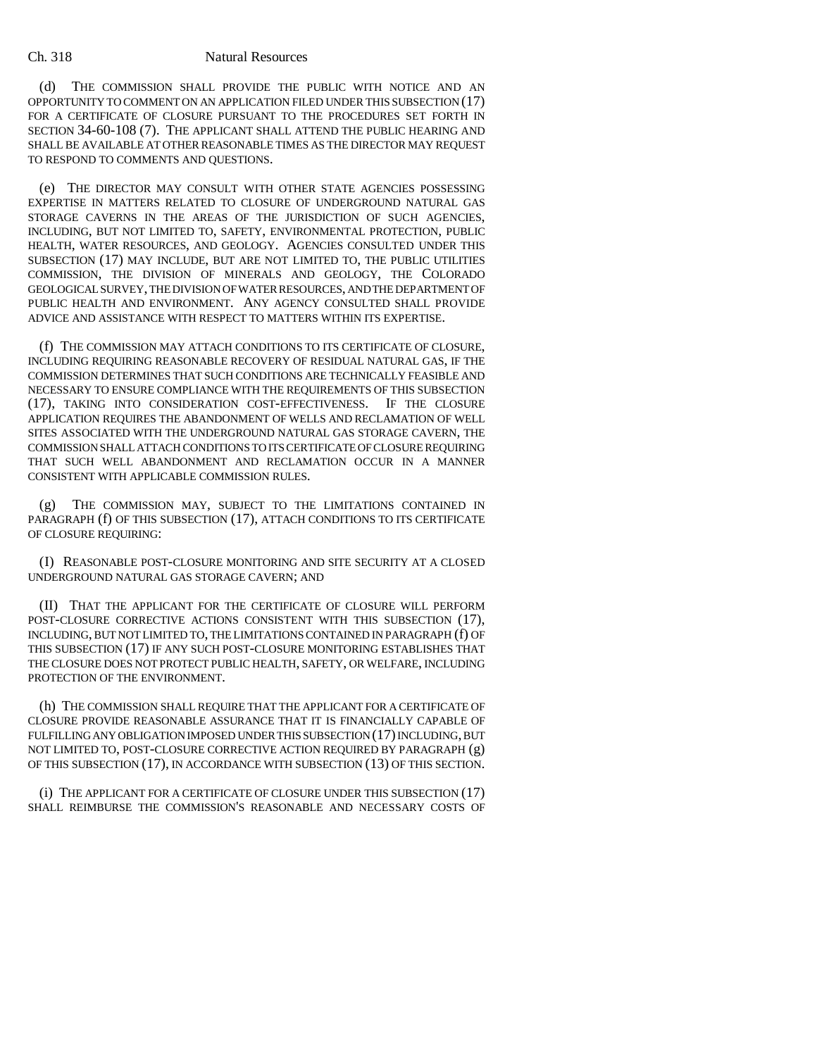## Ch. 318 Natural Resources

(d) THE COMMISSION SHALL PROVIDE THE PUBLIC WITH NOTICE AND AN OPPORTUNITY TO COMMENT ON AN APPLICATION FILED UNDER THIS SUBSECTION (17) FOR A CERTIFICATE OF CLOSURE PURSUANT TO THE PROCEDURES SET FORTH IN SECTION 34-60-108 (7). THE APPLICANT SHALL ATTEND THE PUBLIC HEARING AND SHALL BE AVAILABLE AT OTHER REASONABLE TIMES AS THE DIRECTOR MAY REQUEST TO RESPOND TO COMMENTS AND QUESTIONS.

(e) THE DIRECTOR MAY CONSULT WITH OTHER STATE AGENCIES POSSESSING EXPERTISE IN MATTERS RELATED TO CLOSURE OF UNDERGROUND NATURAL GAS STORAGE CAVERNS IN THE AREAS OF THE JURISDICTION OF SUCH AGENCIES, INCLUDING, BUT NOT LIMITED TO, SAFETY, ENVIRONMENTAL PROTECTION, PUBLIC HEALTH, WATER RESOURCES, AND GEOLOGY. AGENCIES CONSULTED UNDER THIS SUBSECTION (17) MAY INCLUDE, BUT ARE NOT LIMITED TO, THE PUBLIC UTILITIES COMMISSION, THE DIVISION OF MINERALS AND GEOLOGY, THE COLORADO GEOLOGICAL SURVEY, THE DIVISION OF WATER RESOURCES, AND THE DEPARTMENT OF PUBLIC HEALTH AND ENVIRONMENT. ANY AGENCY CONSULTED SHALL PROVIDE ADVICE AND ASSISTANCE WITH RESPECT TO MATTERS WITHIN ITS EXPERTISE.

(f) THE COMMISSION MAY ATTACH CONDITIONS TO ITS CERTIFICATE OF CLOSURE, INCLUDING REQUIRING REASONABLE RECOVERY OF RESIDUAL NATURAL GAS, IF THE COMMISSION DETERMINES THAT SUCH CONDITIONS ARE TECHNICALLY FEASIBLE AND NECESSARY TO ENSURE COMPLIANCE WITH THE REQUIREMENTS OF THIS SUBSECTION (17), TAKING INTO CONSIDERATION COST-EFFECTIVENESS. IF THE CLOSURE APPLICATION REQUIRES THE ABANDONMENT OF WELLS AND RECLAMATION OF WELL SITES ASSOCIATED WITH THE UNDERGROUND NATURAL GAS STORAGE CAVERN, THE COMMISSION SHALL ATTACH CONDITIONS TO ITS CERTIFICATE OF CLOSURE REQUIRING THAT SUCH WELL ABANDONMENT AND RECLAMATION OCCUR IN A MANNER CONSISTENT WITH APPLICABLE COMMISSION RULES.

(g) THE COMMISSION MAY, SUBJECT TO THE LIMITATIONS CONTAINED IN PARAGRAPH (f) OF THIS SUBSECTION (17), ATTACH CONDITIONS TO ITS CERTIFICATE OF CLOSURE REQUIRING:

(I) REASONABLE POST-CLOSURE MONITORING AND SITE SECURITY AT A CLOSED UNDERGROUND NATURAL GAS STORAGE CAVERN; AND

(II) THAT THE APPLICANT FOR THE CERTIFICATE OF CLOSURE WILL PERFORM POST-CLOSURE CORRECTIVE ACTIONS CONSISTENT WITH THIS SUBSECTION (17), INCLUDING, BUT NOT LIMITED TO, THE LIMITATIONS CONTAINED IN PARAGRAPH (f) OF THIS SUBSECTION (17) IF ANY SUCH POST-CLOSURE MONITORING ESTABLISHES THAT THE CLOSURE DOES NOT PROTECT PUBLIC HEALTH, SAFETY, OR WELFARE, INCLUDING PROTECTION OF THE ENVIRONMENT.

(h) THE COMMISSION SHALL REQUIRE THAT THE APPLICANT FOR A CERTIFICATE OF CLOSURE PROVIDE REASONABLE ASSURANCE THAT IT IS FINANCIALLY CAPABLE OF FULFILLING ANY OBLIGATION IMPOSED UNDER THIS SUBSECTION (17) INCLUDING, BUT NOT LIMITED TO, POST-CLOSURE CORRECTIVE ACTION REQUIRED BY PARAGRAPH (g) OF THIS SUBSECTION (17), IN ACCORDANCE WITH SUBSECTION (13) OF THIS SECTION.

(i) THE APPLICANT FOR A CERTIFICATE OF CLOSURE UNDER THIS SUBSECTION (17) SHALL REIMBURSE THE COMMISSION'S REASONABLE AND NECESSARY COSTS OF